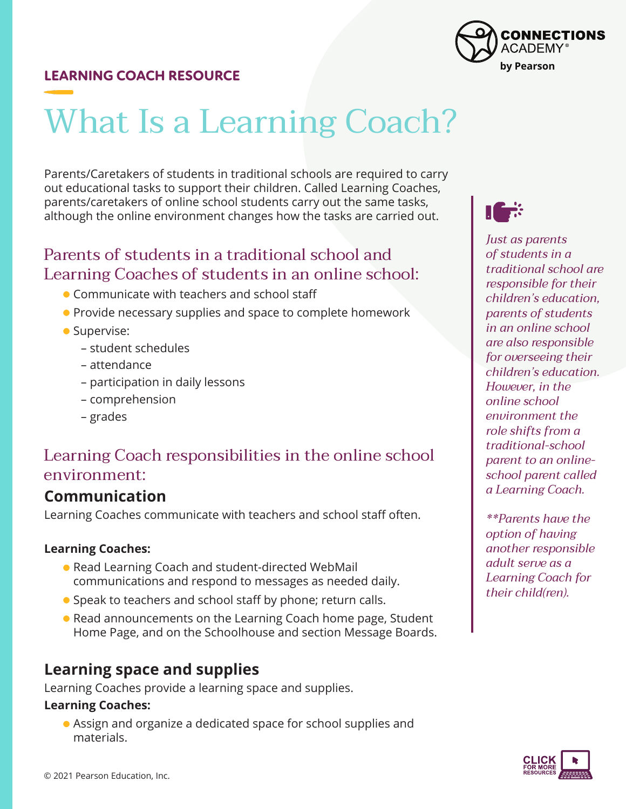# What Is a Learning Coach?

Parents/Caretakers of students in traditional schools are required to carry out educational tasks to support their children. Called Learning Coaches, parents/caretakers of online school students carry out the same tasks, although the online environment changes how the tasks are carried out.

## Parents of students in a traditional school and Learning Coaches of students in an online school:

- Communicate with teachers and school staff
- **Provide necessary supplies and space to complete homework**
- **Supervise:** 
	- student schedules
	- attendance
	- participation in daily lessons
	- comprehension
	- grades

## Learning Coach responsibilities in the online school environment:

## **Communication**

Learning Coaches communicate with teachers and school staff often.

#### **Learning Coaches:**

- Read Learning Coach and student-directed WebMail communications and respond to messages as needed daily.
- Speak to teachers and school staff by phone; return calls.
- Read announcements on the Learning Coach home page, Student Home Page, and on the Schoolhouse and section Message Boards.

### **Learning space and supplies**

Learning Coaches provide a learning space and supplies.

#### **Learning Coaches:**

 Assign and organize a dedicated space for school supplies and materials.





*Just as parents of students in a traditional school are responsible for their children's education, parents of students in an online school are also responsible for overseeing their children's education. However, in the online school environment the role shifts from a traditional-school parent to an onlineschool parent called a Learning Coach.* 

*\*\*Parents have the option of having another responsible adult serve as a Learning Coach for their child(ren).* 

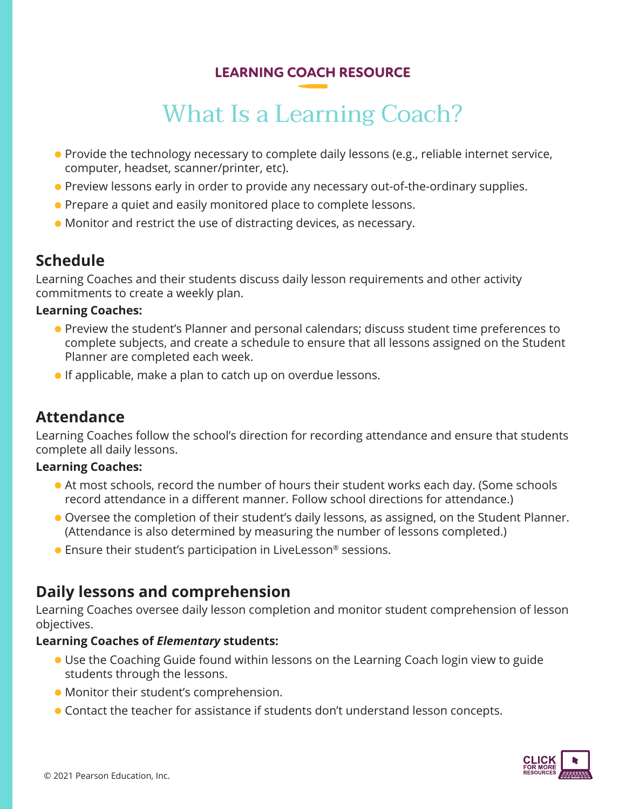## What Is a Learning Coach?

- **Provide the technology necessary to complete daily lessons (e.g., reliable internet service,** computer, headset, scanner/printer, etc).
- **Preview lessons early in order to provide any necessary out-of-the-ordinary supplies.**
- **•** Prepare a quiet and easily monitored place to complete lessons.
- Monitor and restrict the use of distracting devices, as necessary.

## **Schedule**

Learning Coaches and their students discuss daily lesson requirements and other activity commitments to create a weekly plan.

#### **Learning Coaches:**

- Preview the student's Planner and personal calendars; discuss student time preferences to complete subjects, and create a schedule to ensure that all lessons assigned on the Student Planner are completed each week.
- **If applicable, make a plan to catch up on overdue lessons.**

## **Attendance**

Learning Coaches follow the school's direction for recording attendance and ensure that students complete all daily lessons.

#### **Learning Coaches:**

- At most schools, record the number of hours their student works each day. (Some schools record attendance in a different manner. Follow school directions for attendance.)
- Oversee the completion of their student's daily lessons, as assigned, on the Student Planner. (Attendance is also determined by measuring the number of lessons completed.)
- Ensure their student's participation in LiveLesson<sup>®</sup> sessions.

## **Daily lessons and comprehension**

Learning Coaches oversee daily lesson completion and monitor student comprehension of lesson objectives.

#### **Learning Coaches of** *Elementary* **students:**

- Use the Coaching Guide found within lessons on the Learning Coach login view to guide students through the lessons.
- Monitor their student's comprehension.
- Contact the teacher for assistance if students don't understand lesson concepts.

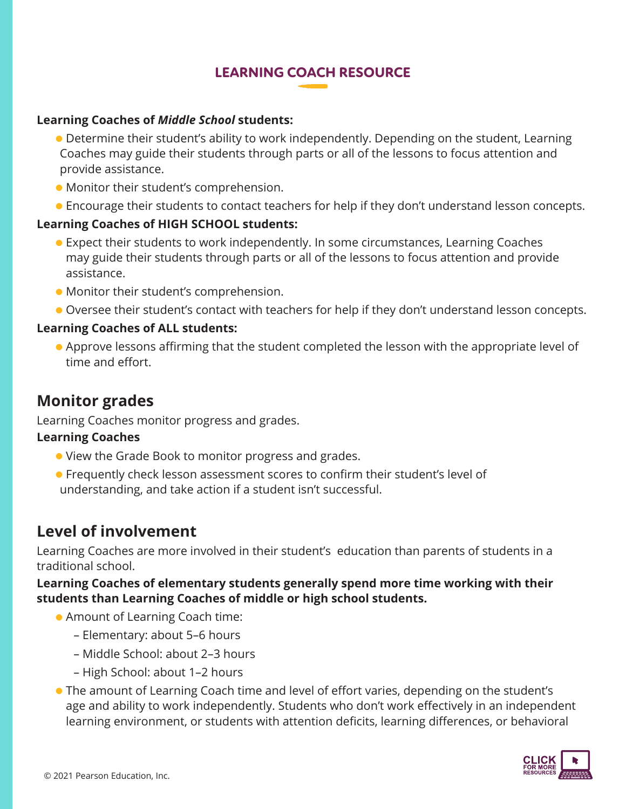#### **Learning Coaches of** *Middle School* **students:**

- Determine their student's ability to work independently. Depending on the student, Learning Coaches may guide their students through parts or all of the lessons to focus attention and provide assistance.
- Monitor their student's comprehension.
- Encourage their students to contact teachers for help if they don't understand lesson concepts.

#### **Learning Coaches of HIGH SCHOOL students:**

- Expect their students to work independently. In some circumstances, Learning Coaches may guide their students through parts or all of the lessons to focus attention and provide assistance.
- Monitor their student's comprehension.
- Oversee their student's contact with teachers for help if they don't understand lesson concepts.

#### **Learning Coaches of ALL students:**

 Approve lessons affirming that the student completed the lesson with the appropriate level of time and effort.

## **Monitor grades**

Learning Coaches monitor progress and grades.

#### **Learning Coaches**

- View the Grade Book to monitor progress and grades.
- Frequently check lesson assessment scores to confirm their student's level of understanding, and take action if a student isn't successful.

## **Level of involvement**

Learning Coaches are more involved in their student's education than parents of students in a traditional school.

**Learning Coaches of elementary students generally spend more time working with their students than Learning Coaches of middle or high school students.**

- Amount of Learning Coach time:
	- Elementary: about 5–6 hours
	- Middle School: about 2–3 hours
	- High School: about 1–2 hours
- The amount of Learning Coach time and level of effort varies, depending on the student's age and ability to work independently. Students who don't work effectively in an independent learning environment, or students with attention deficits, learning differences, or behavioral